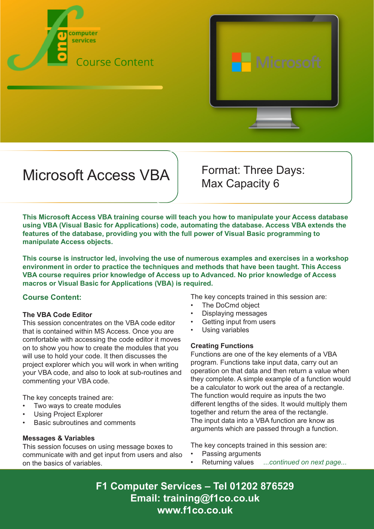



# Microsoft Access VBA Format: Three Days:

Max Capacity 6

**This Microsoft Access VBA training course will teach you how to manipulate your Access database using VBA (Visual Basic for Applications) code, automating the database. Access VBA extends the features of the database, providing you with the full power of Visual Basic programming to manipulate Access objects.**

**This course is instructor led, involving the use of numerous examples and exercises in a workshop environment in order to practice the techniques and methods that have been taught. This Access VBA course requires prior knowledge of Access up to Advanced. No prior knowledge of Access macros or Visual Basic for Applications (VBA) is required.**

## **Course Content:**

## **The VBA Code Editor**

This session concentrates on the VBA code editor that is contained within MS Access. Once you are comfortable with accessing the code editor it moves on to show you how to create the modules that you will use to hold your code. It then discusses the project explorer which you will work in when writing your VBA code, and also to look at sub-routines and commenting your VBA code.

The key concepts trained are:

- Two ways to create modules
- Using Project Explorer
- Basic subroutines and comments

### **Messages & Variables**

This session focuses on using message boxes to communicate with and get input from users and also on the basics of variables.

The key concepts trained in this session are:

- The DoCmd object
- Displaying messages
- Getting input from users
- Using variables

### **Creating Functions**

Functions are one of the key elements of a VBA program. Functions take input data, carry out an operation on that data and then return a value when they complete. A simple example of a function would be a calculator to work out the area of a rectangle. The function would require as inputs the two different lengths of the sides. It would multiply them together and return the area of the rectangle. The input data into a VBA function are know as arguments which are passed through a function.

The key concepts trained in this session are:

- Passing arguments
- Returning values *...continued on next page...*

**F1 Computer Services – Tel 01202 876529 Email: training@f1co.co.uk www.f1co.co.uk**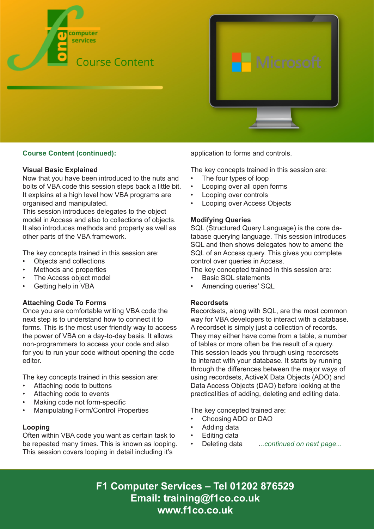

## **Course Content (continued):**

#### **Visual Basic Explained**

Now that you have been introduced to the nuts and bolts of VBA code this session steps back a little bit. It explains at a high level how VBA programs are organised and manipulated.

This session introduces delegates to the object model in Access and also to collections of objects. It also introduces methods and property as well as other parts of the VBA framework.

The key concepts trained in this session are:

- Objects and collections
- Methods and properties
- The Access object model
- Getting help in VBA

### **Attaching Code To Forms**

Once you are comfortable writing VBA code the next step is to understand how to connect it to forms. This is the most user friendly way to access the power of VBA on a day-to-day basis. It allows non-programmers to access your code and also for you to run your code without opening the code editor.

The key concepts trained in this session are:

- Attaching code to buttons
- Attaching code to events
- Making code not form-specific
- Manipulating Form/Control Properties

### **Looping**

Often within VBA code you want as certain task to be repeated many times. This is known as looping. This session covers looping in detail including it's

application to forms and controls.

The key concepts trained in this session are:

- The four types of loop
- Looping over all open forms
- Looping over controls
- **Looping over Access Objects**

### **Modifying Queries**

SQL (Structured Query Language) is the core database querying language. This session introduces SQL and then shows delegates how to amend the SQL of an Access query. This gives you complete control over queries in Access.

The key concepted trained in this session are:

- Basic SQL statements
- Amending queries' SQL

### **Recordsets**

Recordsets, along with SQL, are the most common way for VBA developers to interact with a database. A recordset is simply just a collection of records. They may either have come from a table, a number of tables or more often be the result of a query. This session leads you through using recordsets to interact with your database. It starts by running through the differences between the major ways of using recordsets, ActiveX Data Objects (ADO) and Data Access Objects (DAO) before looking at the practicalities of adding, deleting and editing data.

The key concepted trained are:

- Choosing ADO or DAO
- Adding data
- Editing data
- Deleting data .*..continued on next page...*

**F1 Computer Services – Tel 01202 876529 Email: training@f1co.co.uk www.f1co.co.uk**